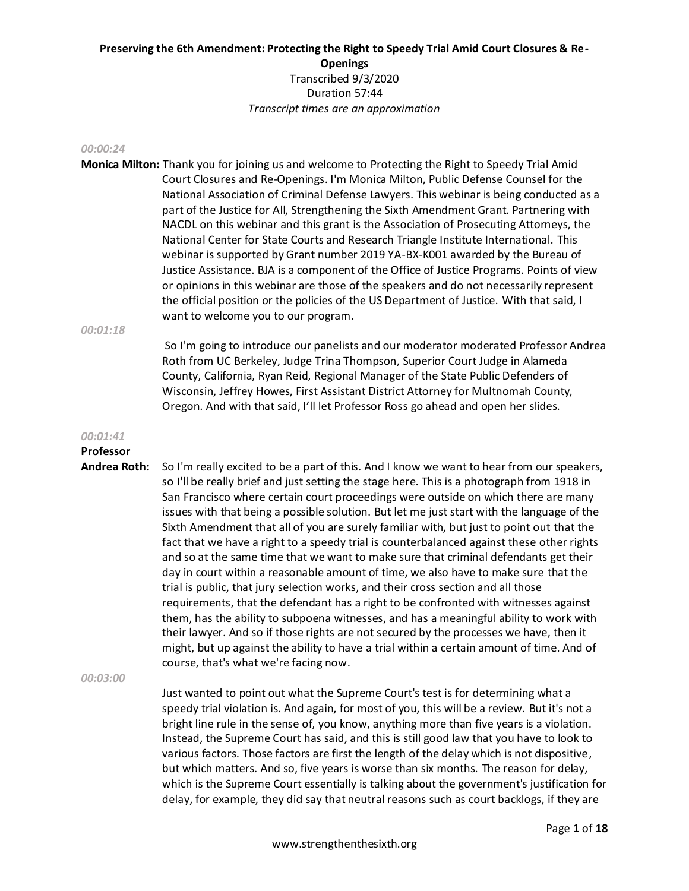#### *00:00:24*

**Monica Milton:** Thank you for joining us and welcome to Protecting the Right to Speedy Trial Amid Court Closures and Re-Openings. I'm Monica Milton, Public Defense Counsel for the National Association of Criminal Defense Lawyers. This webinar is being conducted as a part of the Justice for All, Strengthening the Sixth Amendment Grant. Partnering with NACDL on this webinar and this grant is the Association of Prosecuting Attorneys, the National Center for State Courts and Research Triangle Institute International. This webinar is supported by Grant number 2019 YA-BX-K001 awarded by the Bureau of Justice Assistance. BJA is a component of the Office of Justice Programs. Points of view or opinions in this webinar are those of the speakers and do not necessarily represent the official position or the policies of the US Department of Justice. With that said, I want to welcome you to our program.

*00:01:18*

So I'm going to introduce our panelists and our moderator moderated Professor Andrea Roth from UC Berkeley, Judge Trina Thompson, Superior Court Judge in Alameda County, California, Ryan Reid, Regional Manager of the State Public Defenders of Wisconsin, Jeffrey Howes, First Assistant District Attorney for Multnomah County, Oregon. And with that said, I'll let Professor Ross go ahead and open her slides.

#### *00:01:41*

# **Professor**

**Andrea Roth:** So I'm really excited to be a part of this. And I know we want to hear from our speakers, so I'll be really brief and just setting the stage here. This is a photograph from 1918 in San Francisco where certain court proceedings were outside on which there are many issues with that being a possible solution. But let me just start with the language of the Sixth Amendment that all of you are surely familiar with, but just to point out that the fact that we have a right to a speedy trial is counterbalanced against these other rights and so at the same time that we want to make sure that criminal defendants get their day in court within a reasonable amount of time, we also have to make sure that the trial is public, that jury selection works, and their cross section and all those requirements, that the defendant has a right to be confronted with witnesses against them, has the ability to subpoena witnesses, and has a meaningful ability to work with their lawyer. And so if those rights are not secured by the processes we have, then it might, but up against the ability to have a trial within a certain amount of time. And of course, that's what we're facing now.

*00:03:00* 

Just wanted to point out what the Supreme Court's test is for determining what a speedy trial violation is. And again, for most of you, this will be a review. But it's not a bright line rule in the sense of, you know, anything more than five years is a violation. Instead, the Supreme Court has said, and this is still good law that you have to look to various factors. Those factors are first the length of the delay which is not dispositive, but which matters. And so, five years is worse than six months. The reason for delay, which is the Supreme Court essentially is talking about the government's justification for delay, for example, they did say that neutral reasons such as court backlogs, if they are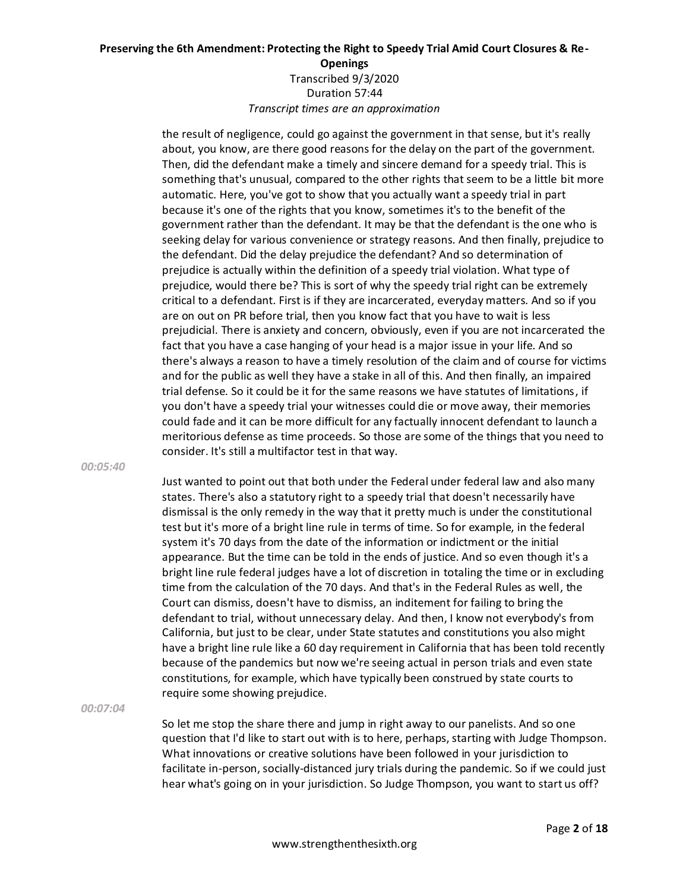the result of negligence, could go against the government in that sense, but it's really about, you know, are there good reasons for the delay on the part of the government. Then, did the defendant make a timely and sincere demand for a speedy trial. This is something that's unusual, compared to the other rights that seem to be a little bit more automatic. Here, you've got to show that you actually want a speedy trial in part because it's one of the rights that you know, sometimes it's to the benefit of the government rather than the defendant. It may be that the defendant is the one who is seeking delay for various convenience or strategy reasons. And then finally, prejudice to the defendant. Did the delay prejudice the defendant? And so determination of prejudice is actually within the definition of a speedy trial violation. What type of prejudice, would there be? This is sort of why the speedy trial right can be extremely critical to a defendant. First is if they are incarcerated, everyday matters. And so if you are on out on PR before trial, then you know fact that you have to wait is less prejudicial. There is anxiety and concern, obviously, even if you are not incarcerated the fact that you have a case hanging of your head is a major issue in your life. And so there's always a reason to have a timely resolution of the claim and of course for victims and for the public as well they have a stake in all of this. And then finally, an impaired trial defense. So it could be it for the same reasons we have statutes of limitations, if you don't have a speedy trial your witnesses could die or move away, their memories could fade and it can be more difficult for any factually innocent defendant to launch a meritorious defense as time proceeds. So those are some of the things that you need to consider. It's still a multifactor test in that way.

*00:05:40* 

Just wanted to point out that both under the Federal under federal law and also many states. There's also a statutory right to a speedy trial that doesn't necessarily have dismissal is the only remedy in the way that it pretty much is under the constitutional test but it's more of a bright line rule in terms of time. So for example, in the federal system it's 70 days from the date of the information or indictment or the initial appearance. But the time can be told in the ends of justice. And so even though it's a bright line rule federal judges have a lot of discretion in totaling the time or in excluding time from the calculation of the 70 days. And that's in the Federal Rules as well, the Court can dismiss, doesn't have to dismiss, an inditement for failing to bring the defendant to trial, without unnecessary delay. And then, I know not everybody's from California, but just to be clear, under State statutes and constitutions you also might have a bright line rule like a 60 day requirement in California that has been told recently because of the pandemics but now we're seeing actual in person trials and even state constitutions, for example, which have typically been construed by state courts to require some showing prejudice.

*00:07:04* 

So let me stop the share there and jump in right away to our panelists. And so one question that I'd like to start out with is to here, perhaps, starting with Judge Thompson. What innovations or creative solutions have been followed in your jurisdiction to facilitate in-person, socially-distanced jury trials during the pandemic. So if we could just hear what's going on in your jurisdiction. So Judge Thompson, you want to start us off?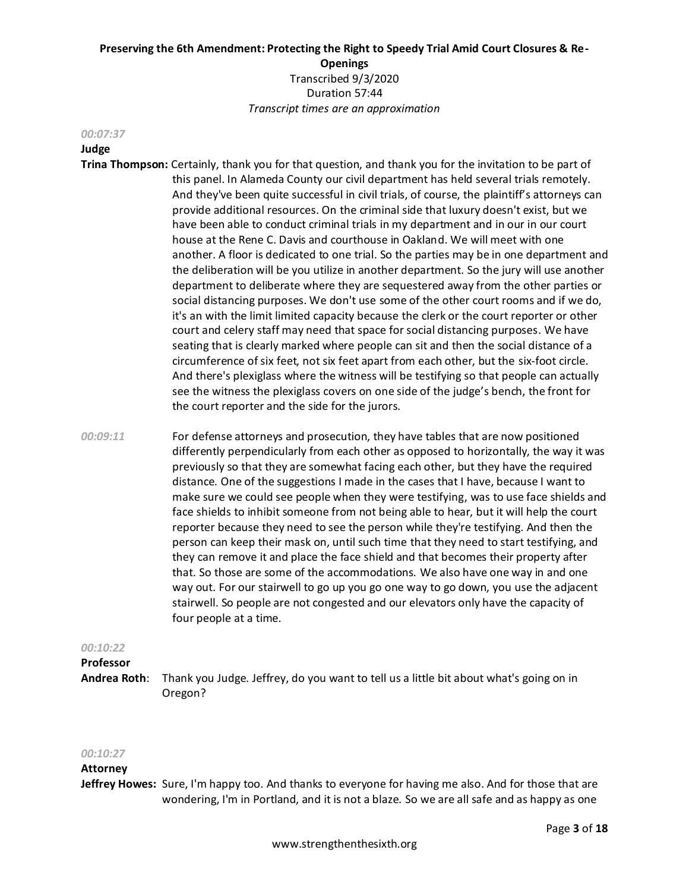#### *00:07:37*

# **Judge**

- **Trina Thompson:** Certainly, thank you for that question, and thank you for the invitation to be part of this panel. In Alameda County our civil department has held several trials remotely. And they've been quite successful in civil trials, of course, the plaintiff's attorneys can provide additional resources. On the criminal side that luxury doesn't exist, but we have been able to conduct criminal trials in my department and in our in our court house at the Rene C. Davis and courthouse in Oakland. We will meet with one another. A floor is dedicated to one trial. So the parties may be in one department and the deliberation will be you utilize in another department. So the jury will use another department to deliberate where they are sequestered away from the other parties or social distancing purposes. We don't use some of the other court rooms and if we do, it's an with the limit limited capacity because the clerk or the court reporter or other court and celery staff may need that space for social distancing purposes. We have seating that is clearly marked where people can sit and then the social distance of a circumference of six feet, not six feet apart from each other, but the six-foot circle. And there's plexiglass where the witness will be testifying so that people can actually see the witness the plexiglass covers on one side of the judge's bench, the front for the court reporter and the side for the jurors.
- *00:09:11* For defense attorneys and prosecution, they have tables that are now positioned differently perpendicularly from each other as opposed to horizontally, the way it was previously so that they are somewhat facing each other, but they have the required distance. One of the suggestions I made in the cases that I have, because I want to make sure we could see people when they were testifying, was to use face shields and face shields to inhibit someone from not being able to hear, but it will help the court reporter because they need to see the person while they're testifying. And then the person can keep their mask on, until such time that they need to start testifying, and they can remove it and place the face shield and that becomes their property after that. So those are some of the accommodations. We also have one way in and one way out. For our stairwell to go up you go one way to go down, you use the adjacent stairwell. So people are not congested and our elevators only have the capacity of four people at a time.

#### *00:10:22*

# **Professor**

**Andrea Roth**: Thank you Judge. Jeffrey, do you want to tell us a little bit about what's going on in Oregon?

# *00:10:27*

# **Attorney**

**Jeffrey Howes:** Sure, I'm happy too. And thanks to everyone for having me also. And for those that are wondering, I'm in Portland, and it is not a blaze. So we are all safe and as happy as one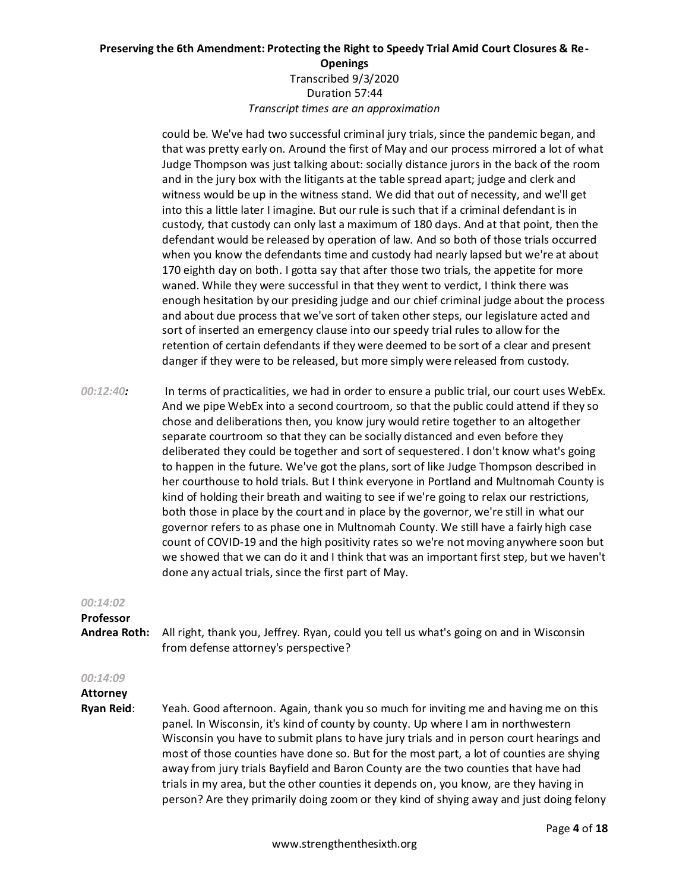could be. We've had two successful criminal jury trials, since the pandemic began, and that was pretty early on. Around the first of May and our process mirrored a lot of what Judge Thompson was just talking about: socially distance jurors in the back of the room and in the jury box with the litigants at the table spread apart; judge and clerk and witness would be up in the witness stand. We did that out of necessity, and we'll get into this a little later I imagine. But our rule is such that if a criminal defendant is in custody, that custody can only last a maximum of 180 days. And at that point, then the defendant would be released by operation of law. And so both of those trials occurred when you know the defendants time and custody had nearly lapsed but we're at about 170 eighth day on both. I gotta say that after those two trials, the appetite for more waned. While they were successful in that they went to verdict, I think there was enough hesitation by our presiding judge and our chief criminal judge about the process and about due process that we've sort of taken other steps, our legislature acted and sort of inserted an emergency clause into our speedy trial rules to allow for the retention of certain defendants if they were deemed to be sort of a clear and present danger if they were to be released, but more simply were released from custody.

*00:12:40:* In terms of practicalities, we had in order to ensure a public trial, our court uses WebEx. And we pipe WebEx into a second courtroom, so that the public could attend if they so chose and deliberations then, you know jury would retire together to an altogether separate courtroom so that they can be socially distanced and even before they deliberated they could be together and sort of sequestered. I don't know what's going to happen in the future. We've got the plans, sort of like Judge Thompson described in her courthouse to hold trials. But I think everyone in Portland and Multnomah County is kind of holding their breath and waiting to see if we're going to relax our restrictions, both those in place by the court and in place by the governor, we're still in what our governor refers to as phase one in Multnomah County. We still have a fairly high case count of COVID-19 and the high positivity rates so we're not moving anywhere soon but we showed that we can do it and I think that was an important first step, but we haven't done any actual trials, since the first part of May.

#### *00:14:02*

**Professor** 

**Andrea Roth:** All right, thank you, Jeffrey. Ryan, could you tell us what's going on and in Wisconsin from defense attorney's perspective?

# *00:14:09*

**Attorney** 

**Ryan Reid**: Yeah. Good afternoon. Again, thank you so much for inviting me and having me on this panel. In Wisconsin, it's kind of county by county. Up where I am in northwestern Wisconsin you have to submit plans to have jury trials and in person court hearings and most of those counties have done so. But for the most part, a lot of counties are shying away from jury trials Bayfield and Baron County are the two counties that have had trials in my area, but the other counties it depends on, you know, are they having in person? Are they primarily doing zoom or they kind of shying away and just doing felony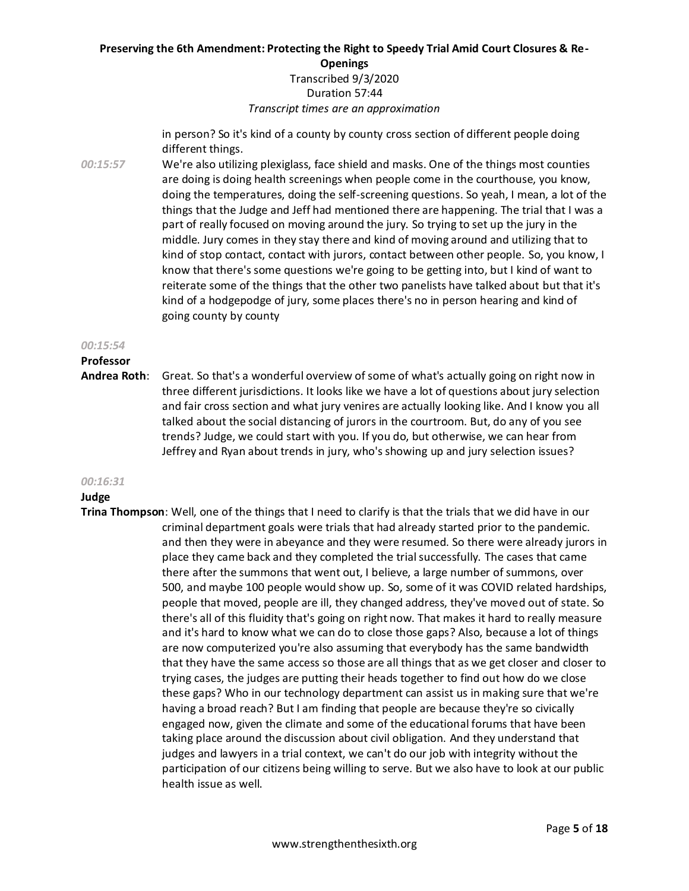# **Preserving the 6th Amendment: Protecting the Right to Speedy Trial Amid Court Closures & Re-Openings** Transcribed 9/3/2020

# Duration 57:44 *Transcript times are an approximation*

in person? So it's kind of a county by county cross section of different people doing different things.

*00:15:57* We're also utilizing plexiglass, face shield and masks. One of the things most counties are doing is doing health screenings when people come in the courthouse, you know, doing the temperatures, doing the self-screening questions. So yeah, I mean, a lot of the things that the Judge and Jeff had mentioned there are happening. The trial that I was a part of really focused on moving around the jury. So trying to set up the jury in the middle. Jury comes in they stay there and kind of moving around and utilizing that to kind of stop contact, contact with jurors, contact between other people. So, you know, I know that there's some questions we're going to be getting into, but I kind of want to reiterate some of the things that the other two panelists have talked about but that it's kind of a hodgepodge of jury, some places there's no in person hearing and kind of going county by county

#### *00:15:54*

# **Professor**

**Andrea Roth**: Great. So that's a wonderful overview of some of what's actually going on right now in three different jurisdictions. It looks like we have a lot of questions about jury selection and fair cross section and what jury venires are actually looking like. And I know you all talked about the social distancing of jurors in the courtroom. But, do any of you see trends? Judge, we could start with you. If you do, but otherwise, we can hear from Jeffrey and Ryan about trends in jury, who's showing up and jury selection issues?

# *00:16:31*

# **Judge**

**Trina Thompson**: Well, one of the things that I need to clarify is that the trials that we did have in our criminal department goals were trials that had already started prior to the pandemic. and then they were in abeyance and they were resumed. So there were already jurors in place they came back and they completed the trial successfully. The cases that came there after the summons that went out, I believe, a large number of summons, over 500, and maybe 100 people would show up. So, some of it was COVID related hardships, people that moved, people are ill, they changed address, they've moved out of state. So there's all of this fluidity that's going on right now. That makes it hard to really measure and it's hard to know what we can do to close those gaps? Also, because a lot of things are now computerized you're also assuming that everybody has the same bandwidth that they have the same access so those are all things that as we get closer and closer to trying cases, the judges are putting their heads together to find out how do we close these gaps? Who in our technology department can assist us in making sure that we're having a broad reach? But I am finding that people are because they're so civically engaged now, given the climate and some of the educational forums that have been taking place around the discussion about civil obligation. And they understand that judges and lawyers in a trial context, we can't do our job with integrity without the participation of our citizens being willing to serve. But we also have to look at our public health issue as well.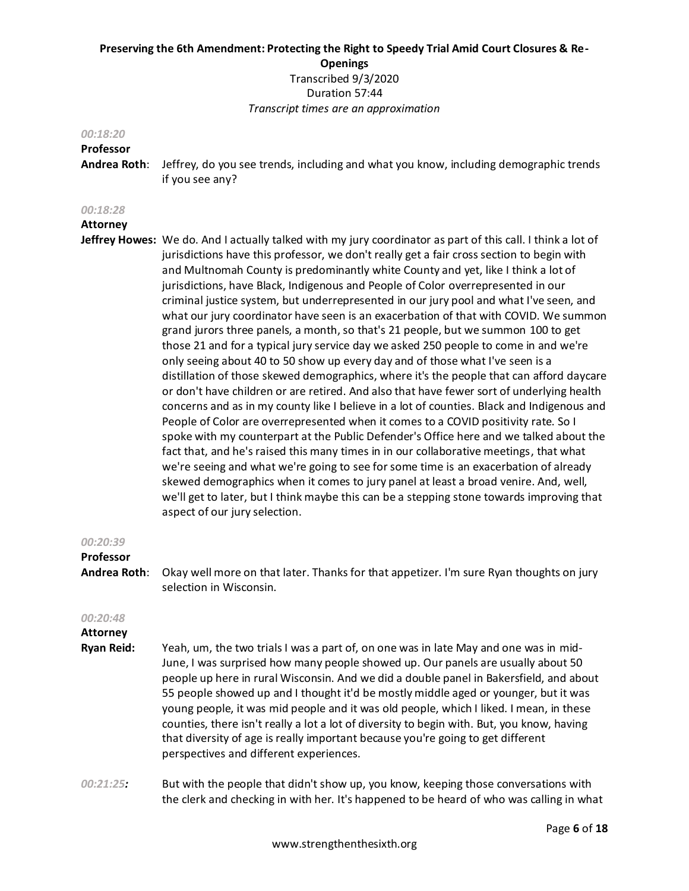#### *00:18:20*

# **Professor**

**Andrea Roth**: Jeffrey, do you see trends, including and what you know, including demographic trends if you see any?

#### *00:18:28*

#### **Attorney**

**Jeffrey Howes:** We do. And I actually talked with my jury coordinator as part of this call. I think a lot of jurisdictions have this professor, we don't really get a fair cross section to begin with and Multnomah County is predominantly white County and yet, like I think a lot of jurisdictions, have Black, Indigenous and People of Color overrepresented in our criminal justice system, but underrepresented in our jury pool and what I've seen, and what our jury coordinator have seen is an exacerbation of that with COVID. We summon grand jurors three panels, a month, so that's 21 people, but we summon 100 to get those 21 and for a typical jury service day we asked 250 people to come in and we're only seeing about 40 to 50 show up every day and of those what I've seen is a distillation of those skewed demographics, where it's the people that can afford daycare or don't have children or are retired. And also that have fewer sort of underlying health concerns and as in my county like I believe in a lot of counties. Black and Indigenous and People of Color are overrepresented when it comes to a COVID positivity rate. So I spoke with my counterpart at the Public Defender's Office here and we talked about the fact that, and he's raised this many times in in our collaborative meetings, that what we're seeing and what we're going to see for some time is an exacerbation of already skewed demographics when it comes to jury panel at least a broad venire. And, well, we'll get to later, but I think maybe this can be a stepping stone towards improving that aspect of our jury selection.

#### *00:20:39*

#### **Professor**

**Andrea Roth**: Okay well more on that later. Thanks for that appetizer. I'm sure Ryan thoughts on jury selection in Wisconsin.

#### *00:20:48*

**Attorney Ryan Reid:** Yeah, um, the two trials I was a part of, on one was in late May and one was in mid-June, I was surprised how many people showed up. Our panels are usually about 50 people up here in rural Wisconsin. And we did a double panel in Bakersfield, and about 55 people showed up and I thought it'd be mostly middle aged or younger, but it was young people, it was mid people and it was old people, which I liked. I mean, in these counties, there isn't really a lot a lot of diversity to begin with. But, you know, having that diversity of age is really important because you're going to get different perspectives and different experiences.

*00:21:25:* But with the people that didn't show up, you know, keeping those conversations with the clerk and checking in with her. It's happened to be heard of who was calling in what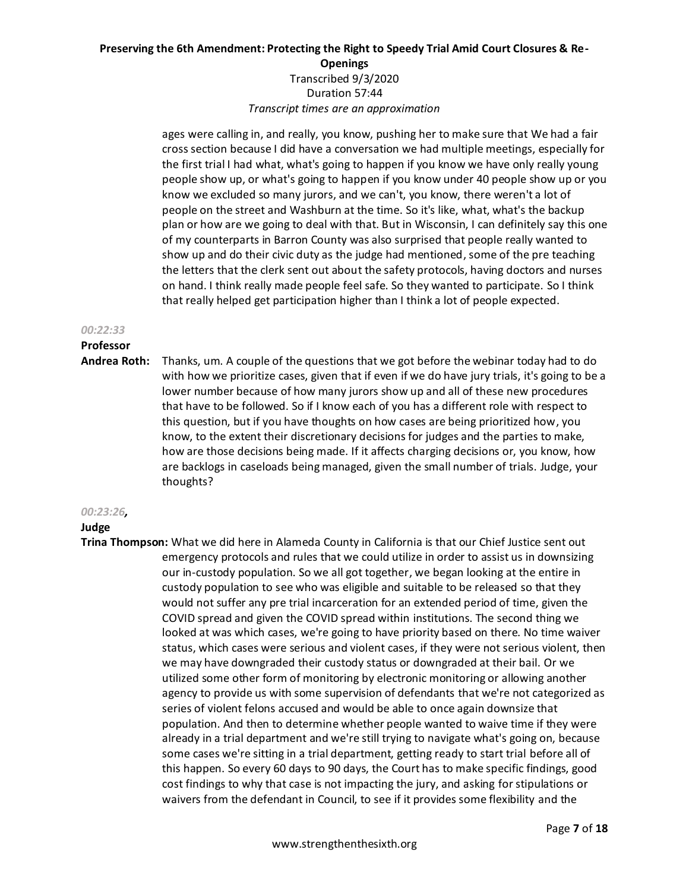ages were calling in, and really, you know, pushing her to make sure that We had a fair cross section because I did have a conversation we had multiple meetings, especially for the first trial I had what, what's going to happen if you know we have only really young people show up, or what's going to happen if you know under 40 people show up or you know we excluded so many jurors, and we can't, you know, there weren't a lot of people on the street and Washburn at the time. So it's like, what, what's the backup plan or how are we going to deal with that. But in Wisconsin, I can definitely say this one of my counterparts in Barron County was also surprised that people really wanted to show up and do their civic duty as the judge had mentioned, some of the pre teaching the letters that the clerk sent out about the safety protocols, having doctors and nurses on hand. I think really made people feel safe. So they wanted to participate. So I think that really helped get participation higher than I think a lot of people expected.

#### *00:22:33*

# **Professor**

**Andrea Roth:** Thanks, um. A couple of the questions that we got before the webinar today had to do with how we prioritize cases, given that if even if we do have jury trials, it's going to be a lower number because of how many jurors show up and all of these new procedures that have to be followed. So if I know each of you has a different role with respect to this question, but if you have thoughts on how cases are being prioritized how, you know, to the extent their discretionary decisions for judges and the parties to make, how are those decisions being made. If it affects charging decisions or, you know, how are backlogs in caseloads being managed, given the small number of trials. Judge, your thoughts?

# *00:23:26,*

# **Judge**

**Trina Thompson:** What we did here in Alameda County in California is that our Chief Justice sent out emergency protocols and rules that we could utilize in order to assist us in downsizing our in-custody population. So we all got together, we began looking at the entire in custody population to see who was eligible and suitable to be released so that they would not suffer any pre trial incarceration for an extended period of time, given the COVID spread and given the COVID spread within institutions. The second thing we looked at was which cases, we're going to have priority based on there. No time waiver status, which cases were serious and violent cases, if they were not serious violent, then we may have downgraded their custody status or downgraded at their bail. Or we utilized some other form of monitoring by electronic monitoring or allowing another agency to provide us with some supervision of defendants that we're not categorized as series of violent felons accused and would be able to once again downsize that population. And then to determine whether people wanted to waive time if they were already in a trial department and we're still trying to navigate what's going on, because some cases we're sitting in a trial department, getting ready to start trial before all of this happen. So every 60 days to 90 days, the Court has to make specific findings, good cost findings to why that case is not impacting the jury, and asking for stipulations or waivers from the defendant in Council, to see if it provides some flexibility and the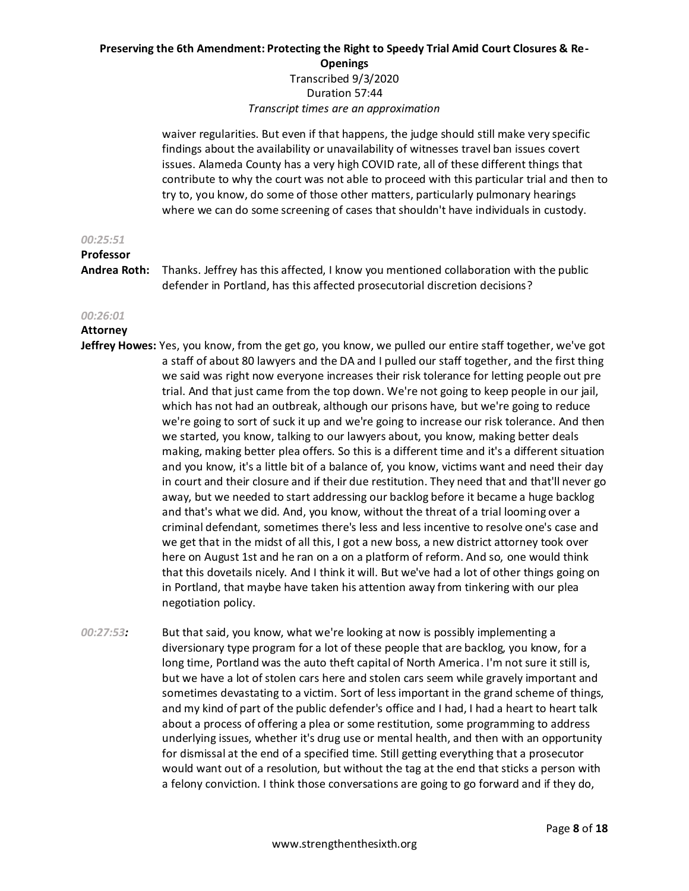# **Preserving the 6th Amendment: Protecting the Right to Speedy Trial Amid Court Closures & Re-Openings** Transcribed 9/3/2020 Duration 57:44

*Transcript times are an approximation*

waiver regularities. But even if that happens, the judge should still make very specific findings about the availability or unavailability of witnesses travel ban issues covert issues. Alameda County has a very high COVID rate, all of these different things that contribute to why the court was not able to proceed with this particular trial and then to try to, you know, do some of those other matters, particularly pulmonary hearings where we can do some screening of cases that shouldn't have individuals in custody.

#### *00:25:51*

# **Professor**

**Andrea Roth:** Thanks. Jeffrey has this affected, I know you mentioned collaboration with the public defender in Portland, has this affected prosecutorial discretion decisions?

# *00:26:01*

# **Attorney**

- **Jeffrey Howes:** Yes, you know, from the get go, you know, we pulled our entire staff together, we've got a staff of about 80 lawyers and the DA and I pulled our staff together, and the first thing we said was right now everyone increases their risk tolerance for letting people out pre trial. And that just came from the top down. We're not going to keep people in our jail, which has not had an outbreak, although our prisons have, but we're going to reduce we're going to sort of suck it up and we're going to increase our risk tolerance. And then we started, you know, talking to our lawyers about, you know, making better deals making, making better plea offers. So this is a different time and it's a different situation and you know, it's a little bit of a balance of, you know, victims want and need their day in court and their closure and if their due restitution. They need that and that'll never go away, but we needed to start addressing our backlog before it became a huge backlog and that's what we did. And, you know, without the threat of a trial looming over a criminal defendant, sometimes there's less and less incentive to resolve one's case and we get that in the midst of all this, I got a new boss, a new district attorney took over here on August 1st and he ran on a on a platform of reform. And so, one would think that this dovetails nicely. And I think it will. But we've had a lot of other things going on in Portland, that maybe have taken his attention away from tinkering with our plea negotiation policy.
- *00:27:53:* But that said, you know, what we're looking at now is possibly implementing a diversionary type program for a lot of these people that are backlog, you know, for a long time, Portland was the auto theft capital of North America. I'm not sure it still is, but we have a lot of stolen cars here and stolen cars seem while gravely important and sometimes devastating to a victim. Sort of less important in the grand scheme of things, and my kind of part of the public defender's office and I had, I had a heart to heart talk about a process of offering a plea or some restitution, some programming to address underlying issues, whether it's drug use or mental health, and then with an opportunity for dismissal at the end of a specified time. Still getting everything that a prosecutor would want out of a resolution, but without the tag at the end that sticks a person with a felony conviction. I think those conversations are going to go forward and if they do,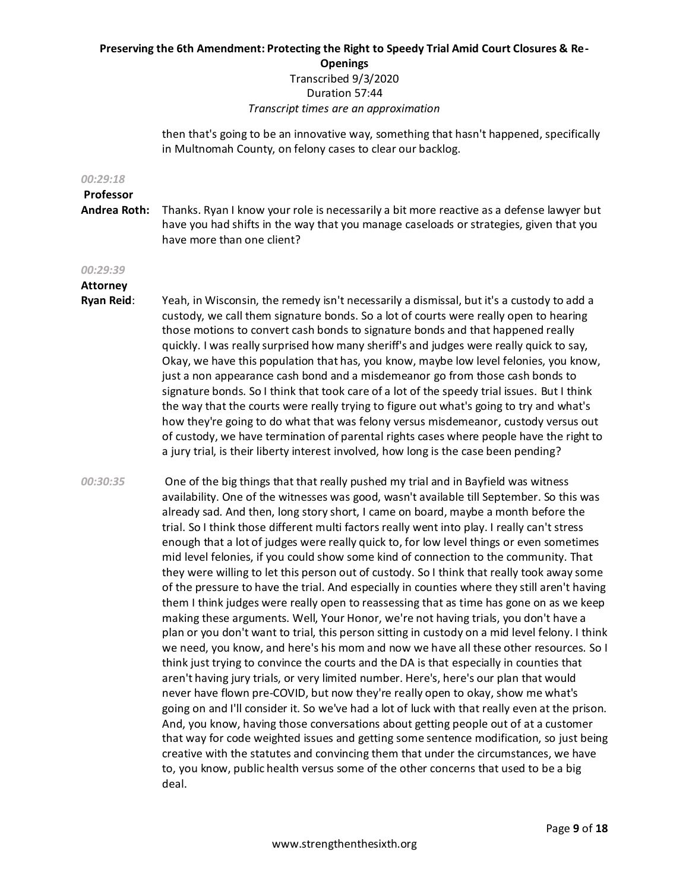# **Preserving the 6th Amendment: Protecting the Right to Speedy Trial Amid Court Closures & Re-Openings** Transcribed 9/3/2020 Duration 57:44

*Transcript times are an approximation*

then that's going to be an innovative way, something that hasn't happened, specifically in Multnomah County, on felony cases to clear our backlog.

#### *00:29:18*

**Professor Andrea Roth:** Thanks. Ryan I know your role is necessarily a bit more reactive as a defense lawyer but have you had shifts in the way that you manage caseloads or strategies, given that you have more than one client?

#### *00:29:39*

# **Attorney**

- **Ryan Reid**: Yeah, in Wisconsin, the remedy isn't necessarily a dismissal, but it's a custody to add a custody, we call them signature bonds. So a lot of courts were really open to hearing those motions to convert cash bonds to signature bonds and that happened really quickly. I was really surprised how many sheriff's and judges were really quick to say, Okay, we have this population that has, you know, maybe low level felonies, you know, just a non appearance cash bond and a misdemeanor go from those cash bonds to signature bonds. So I think that took care of a lot of the speedy trial issues. But I think the way that the courts were really trying to figure out what's going to try and what's how they're going to do what that was felony versus misdemeanor, custody versus out of custody, we have termination of parental rights cases where people have the right to a jury trial, is their liberty interest involved, how long is the case been pending?
- *00:30:35* One of the big things that that really pushed my trial and in Bayfield was witness availability. One of the witnesses was good, wasn't available till September. So this was already sad. And then, long story short, I came on board, maybe a month before the trial. So I think those different multi factors really went into play. I really can't stress enough that a lot of judges were really quick to, for low level things or even sometimes mid level felonies, if you could show some kind of connection to the community. That they were willing to let this person out of custody. So I think that really took away some of the pressure to have the trial. And especially in counties where they still aren't having them I think judges were really open to reassessing that as time has gone on as we keep making these arguments. Well, Your Honor, we're not having trials, you don't have a plan or you don't want to trial, this person sitting in custody on a mid level felony. I think we need, you know, and here's his mom and now we have all these other resources. So I think just trying to convince the courts and the DA is that especially in counties that aren't having jury trials, or very limited number. Here's, here's our plan that would never have flown pre-COVID, but now they're really open to okay, show me what's going on and I'll consider it. So we've had a lot of luck with that really even at the prison. And, you know, having those conversations about getting people out of at a customer that way for code weighted issues and getting some sentence modification, so just being creative with the statutes and convincing them that under the circumstances, we have to, you know, public health versus some of the other concerns that used to be a big deal.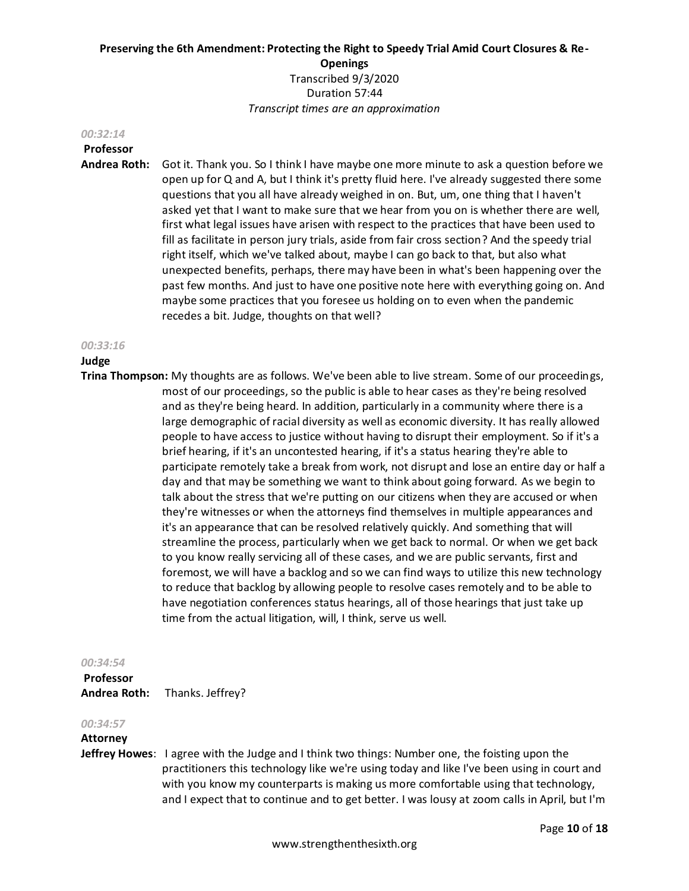#### *00:32:14*

# **Professor**

**Andrea Roth:** Got it. Thank you. So I think I have maybe one more minute to ask a question before we open up for Q and A, but I think it's pretty fluid here. I've already suggested there some questions that you all have already weighed in on. But, um, one thing that I haven't asked yet that I want to make sure that we hear from you on is whether there are well, first what legal issues have arisen with respect to the practices that have been used to fill as facilitate in person jury trials, aside from fair cross section? And the speedy trial right itself, which we've talked about, maybe I can go back to that, but also what unexpected benefits, perhaps, there may have been in what's been happening over the past few months. And just to have one positive note here with everything going on. And maybe some practices that you foresee us holding on to even when the pandemic recedes a bit. Judge, thoughts on that well?

#### *00:33:16*

#### **Judge**

**Trina Thompson:** My thoughts are as follows. We've been able to live stream. Some of our proceedings, most of our proceedings, so the public is able to hear cases as they're being resolved and as they're being heard. In addition, particularly in a community where there is a large demographic of racial diversity as well as economic diversity. It has really allowed people to have access to justice without having to disrupt their employment. So if it's a brief hearing, if it's an uncontested hearing, if it's a status hearing they're able to participate remotely take a break from work, not disrupt and lose an entire day or half a day and that may be something we want to think about going forward. As we begin to talk about the stress that we're putting on our citizens when they are accused or when they're witnesses or when the attorneys find themselves in multiple appearances and it's an appearance that can be resolved relatively quickly. And something that will streamline the process, particularly when we get back to normal. Or when we get back to you know really servicing all of these cases, and we are public servants, first and foremost, we will have a backlog and so we can find ways to utilize this new technology to reduce that backlog by allowing people to resolve cases remotely and to be able to have negotiation conferences status hearings, all of those hearings that just take up time from the actual litigation, will, I think, serve us well.

#### *00:34:54*

**Professor Andrea Roth:** Thanks. Jeffrey?

#### *00:34:57*

#### **Attorney**

**Jeffrey Howes**: I agree with the Judge and I think two things: Number one, the foisting upon the practitioners this technology like we're using today and like I've been using in court and with you know my counterparts is making us more comfortable using that technology, and I expect that to continue and to get better. I was lousy at zoom calls in April, but I'm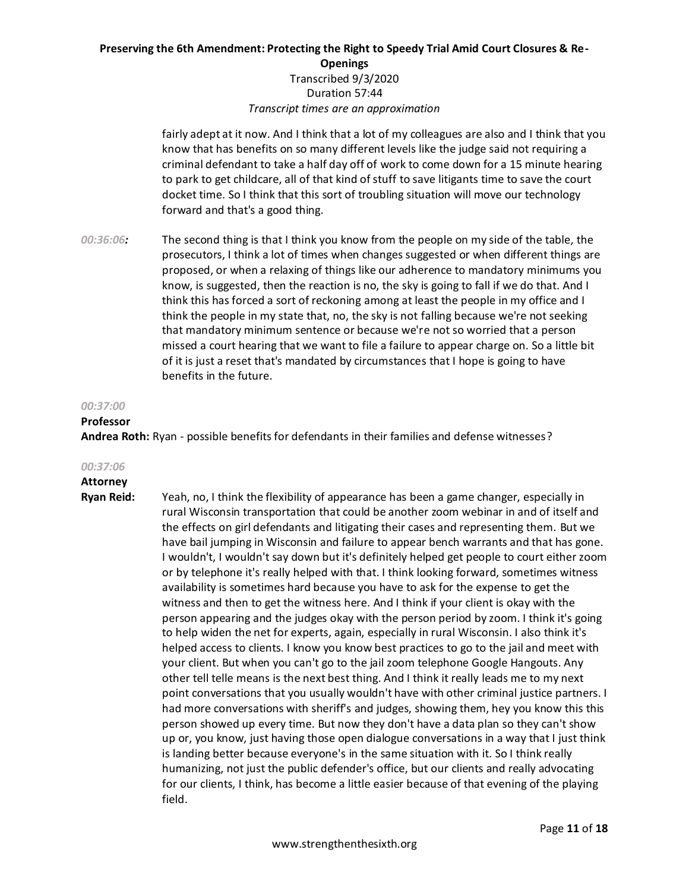fairly adept at it now. And I think that a lot of my colleagues are also and I think that you know that has benefits on so many different levels like the judge said not requiring a criminal defendant to take a half day off of work to come down for a 15 minute hearing to park to get childcare, all of that kind of stuff to save litigants time to save the court docket time. So I think that this sort of troubling situation will move our technology forward and that's a good thing.

*00:36:06:* The second thing is that I think you know from the people on my side of the table, the prosecutors, I think a lot of times when changes suggested or when different things are proposed, or when a relaxing of things like our adherence to mandatory minimums you know, is suggested, then the reaction is no, the sky is going to fall if we do that. And I think this has forced a sort of reckoning among at least the people in my office and I think the people in my state that, no, the sky is not falling because we're not seeking that mandatory minimum sentence or because we're not so worried that a person missed a court hearing that we want to file a failure to appear charge on. So a little bit of it is just a reset that's mandated by circumstances that I hope is going to have benefits in the future.

#### *00:37:00*

#### **Professor**

**Andrea Roth:** Ryan - possible benefits for defendants in their families and defense witnesses?

#### *00:37:06*

# **Attorney**

**Ryan Reid:** Yeah, no, I think the flexibility of appearance has been a game changer, especially in rural Wisconsin transportation that could be another zoom webinar in and of itself and the effects on girl defendants and litigating their cases and representing them. But we have bail jumping in Wisconsin and failure to appear bench warrants and that has gone. I wouldn't, I wouldn't say down but it's definitely helped get people to court either zoom or by telephone it's really helped with that. I think looking forward, sometimes witness availability is sometimes hard because you have to ask for the expense to get the witness and then to get the witness here. And I think if your client is okay with the person appearing and the judges okay with the person period by zoom. I think it's going to help widen the net for experts, again, especially in rural Wisconsin. I also think it's helped access to clients. I know you know best practices to go to the jail and meet with your client. But when you can't go to the jail zoom telephone Google Hangouts. Any other tell telle means is the next best thing. And I think it really leads me to my next point conversations that you usually wouldn't have with other criminal justice partners. I had more conversations with sheriff's and judges, showing them, hey you know this this person showed up every time. But now they don't have a data plan so they can't show up or, you know, just having those open dialogue conversations in a way that I just think is landing better because everyone's in the same situation with it. So I think really humanizing, not just the public defender's office, but our clients and really advocating for our clients, I think, has become a little easier because of that evening of the playing field.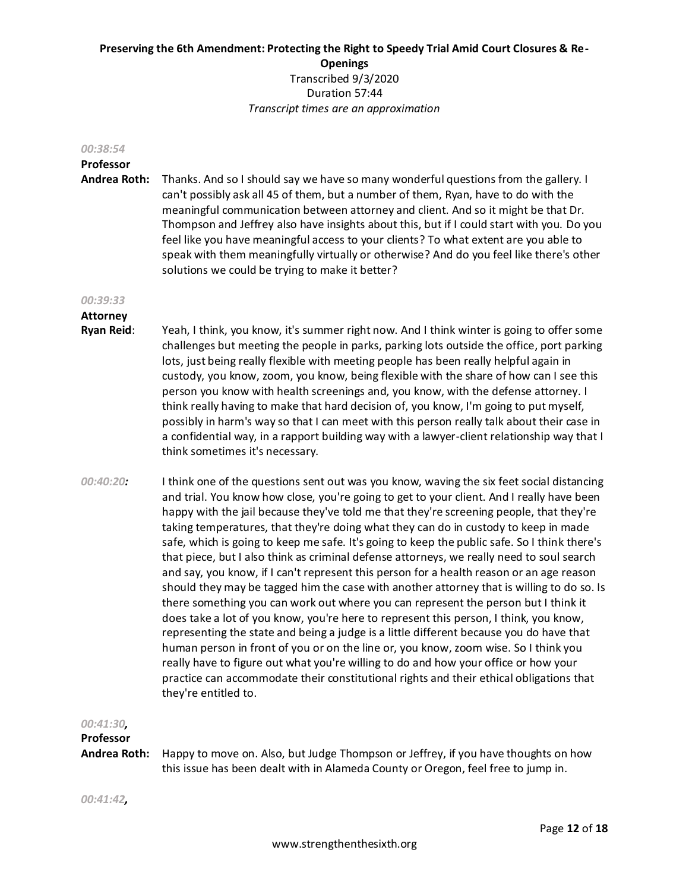#### *00:38:54*

# **Professor**

**Andrea Roth:** Thanks. And so I should say we have so many wonderful questions from the gallery. I can't possibly ask all 45 of them, but a number of them, Ryan, have to do with the meaningful communication between attorney and client. And so it might be that Dr. Thompson and Jeffrey also have insights about this, but if I could start with you. Do you feel like you have meaningful access to your clients? To what extent are you able to speak with them meaningfully virtually or otherwise? And do you feel like there's other solutions we could be trying to make it better?

#### *00:39:33*

# **Attorney**

- **Ryan Reid**: Yeah, I think, you know, it's summer right now. And I think winter is going to offer some challenges but meeting the people in parks, parking lots outside the office, port parking lots, just being really flexible with meeting people has been really helpful again in custody, you know, zoom, you know, being flexible with the share of how can I see this person you know with health screenings and, you know, with the defense attorney. I think really having to make that hard decision of, you know, I'm going to put myself, possibly in harm's way so that I can meet with this person really talk about their case in a confidential way, in a rapport building way with a lawyer-client relationship way that I think sometimes it's necessary.
- *00:40:20:* I think one of the questions sent out was you know, waving the six feet social distancing and trial. You know how close, you're going to get to your client. And I really have been happy with the jail because they've told me that they're screening people, that they're taking temperatures, that they're doing what they can do in custody to keep in made safe, which is going to keep me safe. It's going to keep the public safe. So I think there's that piece, but I also think as criminal defense attorneys, we really need to soul search and say, you know, if I can't represent this person for a health reason or an age reason should they may be tagged him the case with another attorney that is willing to do so. Is there something you can work out where you can represent the person but I think it does take a lot of you know, you're here to represent this person, I think, you know, representing the state and being a judge is a little different because you do have that human person in front of you or on the line or, you know, zoom wise. So I think you really have to figure out what you're willing to do and how your office or how your practice can accommodate their constitutional rights and their ethical obligations that they're entitled to.

# *00:41:30,*

# **Professor**

**Andrea Roth:** Happy to move on. Also, but Judge Thompson or Jeffrey, if you have thoughts on how this issue has been dealt with in Alameda County or Oregon, feel free to jump in.

*00:41:42,*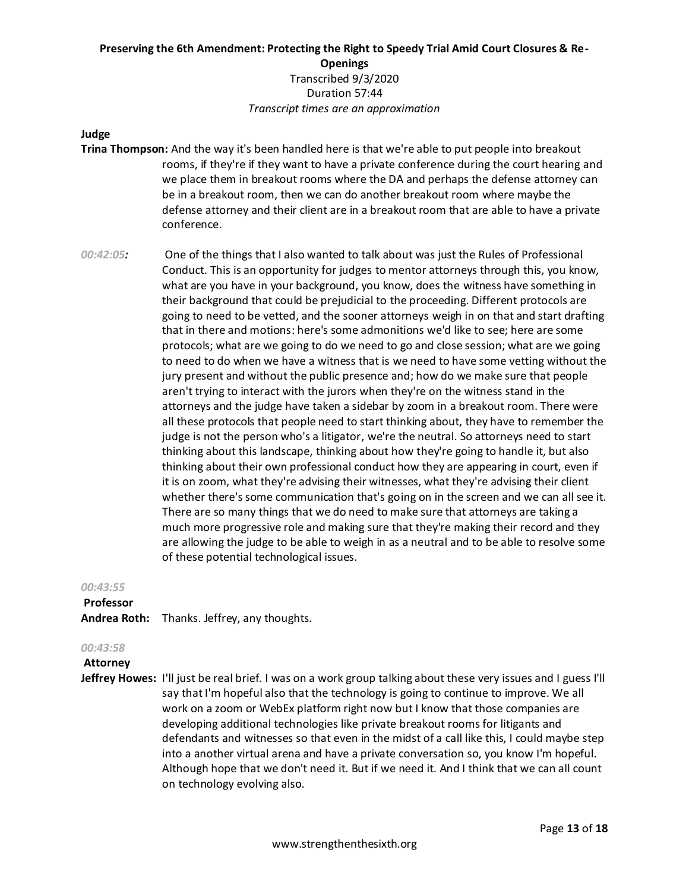# **Judge**

- **Trina Thompson:** And the way it's been handled here is that we're able to put people into breakout rooms, if they're if they want to have a private conference during the court hearing and we place them in breakout rooms where the DA and perhaps the defense attorney can be in a breakout room, then we can do another breakout room where maybe the defense attorney and their client are in a breakout room that are able to have a private conference.
- *00:42:05:* One of the things that I also wanted to talk about was just the Rules of Professional Conduct. This is an opportunity for judges to mentor attorneys through this, you know, what are you have in your background, you know, does the witness have something in their background that could be prejudicial to the proceeding. Different protocols are going to need to be vetted, and the sooner attorneys weigh in on that and start drafting that in there and motions: here's some admonitions we'd like to see; here are some protocols; what are we going to do we need to go and close session; what are we going to need to do when we have a witness that is we need to have some vetting without the jury present and without the public presence and; how do we make sure that people aren't trying to interact with the jurors when they're on the witness stand in the attorneys and the judge have taken a sidebar by zoom in a breakout room. There were all these protocols that people need to start thinking about, they have to remember the judge is not the person who's a litigator, we're the neutral. So attorneys need to start thinking about this landscape, thinking about how they're going to handle it, but also thinking about their own professional conduct how they are appearing in court, even if it is on zoom, what they're advising their witnesses, what they're advising their client whether there's some communication that's going on in the screen and we can all see it. There are so many things that we do need to make sure that attorneys are taking a much more progressive role and making sure that they're making their record and they are allowing the judge to be able to weigh in as a neutral and to be able to resolve some of these potential technological issues.

#### *00:43:55*

#### **Professor**

**Andrea Roth:** Thanks. Jeffrey, any thoughts.

#### *00:43:58*

**Attorney** 

**Jeffrey Howes:** I'll just be real brief. I was on a work group talking about these very issues and I guess I'll say that I'm hopeful also that the technology is going to continue to improve. We all work on a zoom or WebEx platform right now but I know that those companies are developing additional technologies like private breakout rooms for litigants and defendants and witnesses so that even in the midst of a call like this, I could maybe step into a another virtual arena and have a private conversation so, you know I'm hopeful. Although hope that we don't need it. But if we need it. And I think that we can all count on technology evolving also.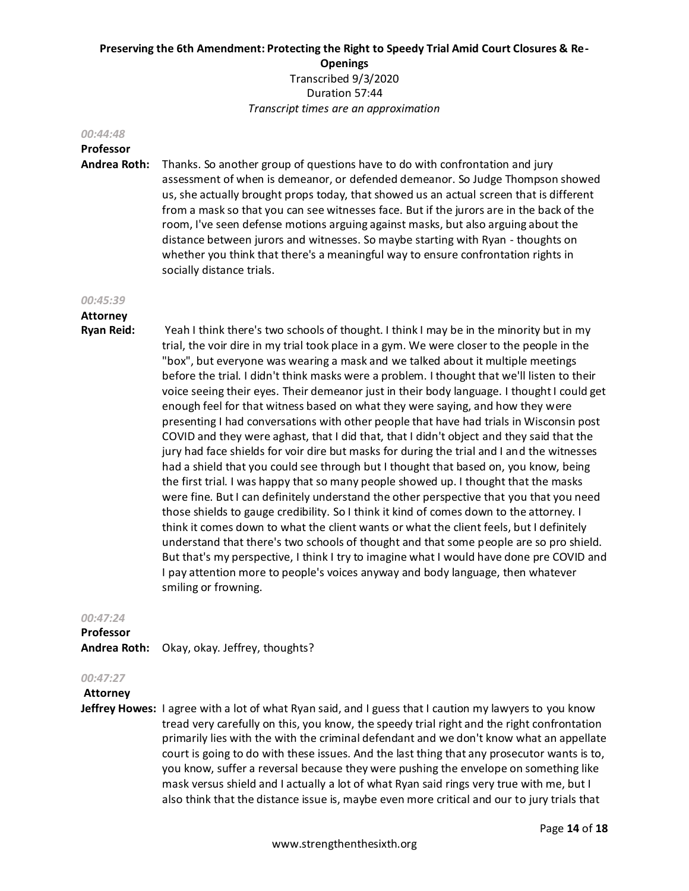#### *00:44:48*

# **Professor**

**Andrea Roth:** Thanks. So another group of questions have to do with confrontation and jury assessment of when is demeanor, or defended demeanor. So Judge Thompson showed us, she actually brought props today, that showed us an actual screen that is different from a mask so that you can see witnesses face. But if the jurors are in the back of the room, I've seen defense motions arguing against masks, but also arguing about the distance between jurors and witnesses. So maybe starting with Ryan - thoughts on whether you think that there's a meaningful way to ensure confrontation rights in socially distance trials.

#### *00:45:39*

# **Attorney**

**Ryan Reid:** Yeah I think there's two schools of thought. I think I may be in the minority but in my trial, the voir dire in my trial took place in a gym. We were closer to the people in the "box", but everyone was wearing a mask and we talked about it multiple meetings before the trial. I didn't think masks were a problem. I thought that we'll listen to their voice seeing their eyes. Their demeanor just in their body language. I thought I could get enough feel for that witness based on what they were saying, and how they were presenting I had conversations with other people that have had trials in Wisconsin post COVID and they were aghast, that I did that, that I didn't object and they said that the jury had face shields for voir dire but masks for during the trial and I and the witnesses had a shield that you could see through but I thought that based on, you know, being the first trial. I was happy that so many people showed up. I thought that the masks were fine. But I can definitely understand the other perspective that you that you need those shields to gauge credibility. So I think it kind of comes down to the attorney. I think it comes down to what the client wants or what the client feels, but I definitely understand that there's two schools of thought and that some people are so pro shield. But that's my perspective, I think I try to imagine what I would have done pre COVID and I pay attention more to people's voices anyway and body language, then whatever smiling or frowning.

# *00:47:24*

**Professor Andrea Roth:** Okay, okay. Jeffrey, thoughts?

# *00:47:27*

**Attorney** 

**Jeffrey Howes:** I agree with a lot of what Ryan said, and I guess that I caution my lawyers to you know tread very carefully on this, you know, the speedy trial right and the right confrontation primarily lies with the with the criminal defendant and we don't know what an appellate court is going to do with these issues. And the last thing that any prosecutor wants is to, you know, suffer a reversal because they were pushing the envelope on something like mask versus shield and I actually a lot of what Ryan said rings very true with me, but I also think that the distance issue is, maybe even more critical and our to jury trials that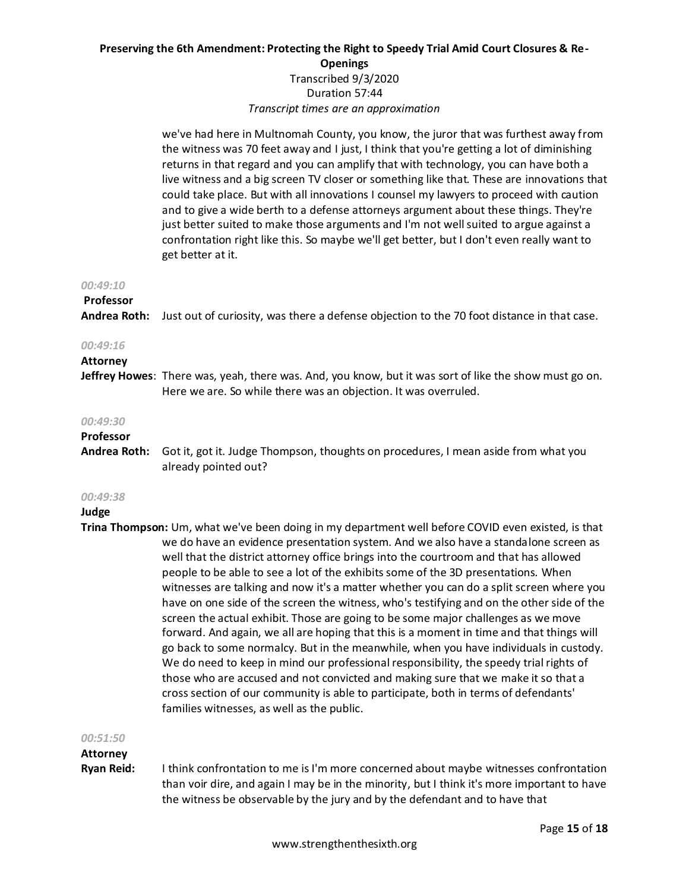we've had here in Multnomah County, you know, the juror that was furthest away from the witness was 70 feet away and I just, I think that you're getting a lot of diminishing returns in that regard and you can amplify that with technology, you can have both a live witness and a big screen TV closer or something like that. These are innovations that could take place. But with all innovations I counsel my lawyers to proceed with caution and to give a wide berth to a defense attorneys argument about these things. They're just better suited to make those arguments and I'm not well suited to argue against a confrontation right like this. So maybe we'll get better, but I don't even really want to get better at it.

#### *00:49:10*

#### **Professor**

**Andrea Roth:** Just out of curiosity, was there a defense objection to the 70 foot distance in that case.

#### *00:49:16*

#### **Attorney**

**Jeffrey Howes**: There was, yeah, there was. And, you know, but it was sort of like the show must go on. Here we are. So while there was an objection. It was overruled.

#### *00:49:30*

# **Professor**

**Andrea Roth:** Got it, got it. Judge Thompson, thoughts on procedures, I mean aside from what you already pointed out?

#### *00:49:38*

#### **Judge**

**Trina Thompson:** Um, what we've been doing in my department well before COVID even existed, is that we do have an evidence presentation system. And we also have a standalone screen as well that the district attorney office brings into the courtroom and that has allowed people to be able to see a lot of the exhibits some of the 3D presentations. When witnesses are talking and now it's a matter whether you can do a split screen where you have on one side of the screen the witness, who's testifying and on the other side of the screen the actual exhibit. Those are going to be some major challenges as we move forward. And again, we all are hoping that this is a moment in time and that things will go back to some normalcy. But in the meanwhile, when you have individuals in custody. We do need to keep in mind our professional responsibility, the speedy trial rights of those who are accused and not convicted and making sure that we make it so that a cross section of our community is able to participate, both in terms of defendants' families witnesses, as well as the public.

#### *00:51:50*

#### **Attorney**

**Ryan Reid:** I think confrontation to me is I'm more concerned about maybe witnesses confrontation than voir dire, and again I may be in the minority, but I think it's more important to have the witness be observable by the jury and by the defendant and to have that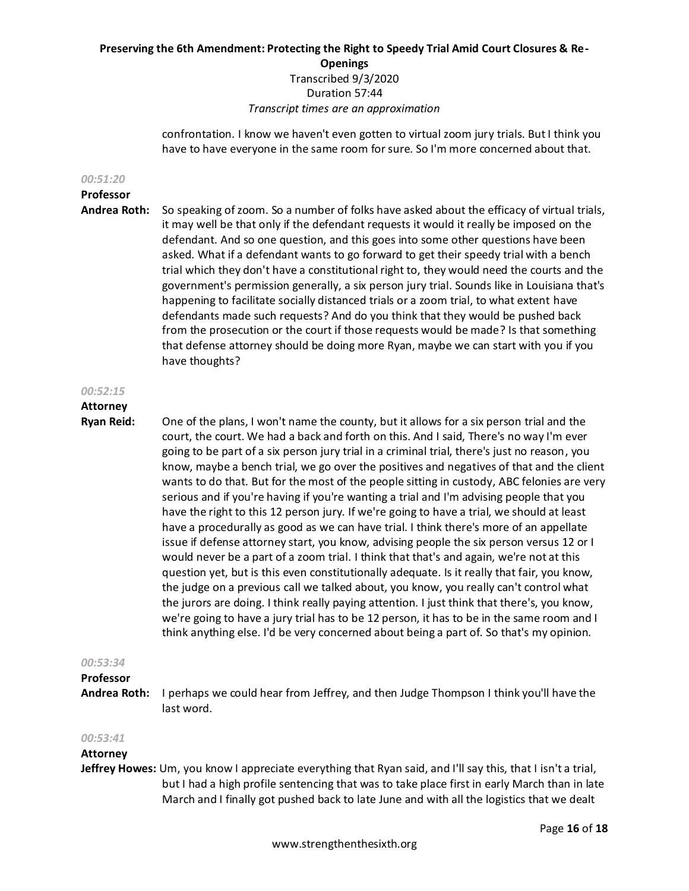confrontation. I know we haven't even gotten to virtual zoom jury trials. But I think you have to have everyone in the same room for sure. So I'm more concerned about that.

#### *00:51:20*

# **Professor**

**Andrea Roth:** So speaking of zoom. So a number of folks have asked about the efficacy of virtual trials, it may well be that only if the defendant requests it would it really be imposed on the defendant. And so one question, and this goes into some other questions have been asked. What if a defendant wants to go forward to get their speedy trial with a bench trial which they don't have a constitutional right to, they would need the courts and the government's permission generally, a six person jury trial. Sounds like in Louisiana that's happening to facilitate socially distanced trials or a zoom trial, to what extent have defendants made such requests? And do you think that they would be pushed back from the prosecution or the court if those requests would be made? Is that something that defense attorney should be doing more Ryan, maybe we can start with you if you have thoughts?

#### *00:52:15*

# **Attorney**

**Ryan Reid:** One of the plans, I won't name the county, but it allows for a six person trial and the court, the court. We had a back and forth on this. And I said, There's no way I'm ever going to be part of a six person jury trial in a criminal trial, there's just no reason, you know, maybe a bench trial, we go over the positives and negatives of that and the client wants to do that. But for the most of the people sitting in custody, ABC felonies are very serious and if you're having if you're wanting a trial and I'm advising people that you have the right to this 12 person jury. If we're going to have a trial, we should at least have a procedurally as good as we can have trial. I think there's more of an appellate issue if defense attorney start, you know, advising people the six person versus 12 or I would never be a part of a zoom trial. I think that that's and again, we're not at this question yet, but is this even constitutionally adequate. Is it really that fair, you know, the judge on a previous call we talked about, you know, you really can't control what the jurors are doing. I think really paying attention. I just think that there's, you know, we're going to have a jury trial has to be 12 person, it has to be in the same room and I think anything else. I'd be very concerned about being a part of. So that's my opinion.

# *00:53:34*

# **Professor**

**Andrea Roth:** I perhaps we could hear from Jeffrey, and then Judge Thompson I think you'll have the last word.

#### *00:53:41*

# **Attorney**

**Jeffrey Howes:** Um, you know I appreciate everything that Ryan said, and I'll say this, that I isn't a trial, but I had a high profile sentencing that was to take place first in early March than in late March and I finally got pushed back to late June and with all the logistics that we dealt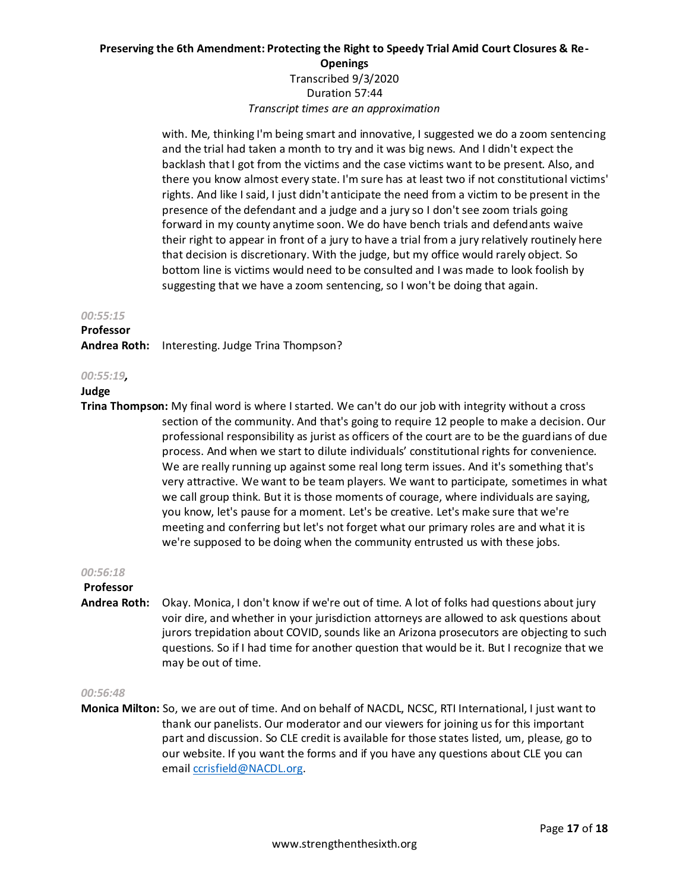with. Me, thinking I'm being smart and innovative, I suggested we do a zoom sentencing and the trial had taken a month to try and it was big news. And I didn't expect the backlash that I got from the victims and the case victims want to be present. Also, and there you know almost every state. I'm sure has at least two if not constitutional victims' rights. And like I said, I just didn't anticipate the need from a victim to be present in the presence of the defendant and a judge and a jury so I don't see zoom trials going forward in my county anytime soon. We do have bench trials and defendants waive their right to appear in front of a jury to have a trial from a jury relatively routinely here that decision is discretionary. With the judge, but my office would rarely object. So bottom line is victims would need to be consulted and I was made to look foolish by suggesting that we have a zoom sentencing, so I won't be doing that again.

#### *00:55:15*

# **Professor**

**Andrea Roth:** Interesting. Judge Trina Thompson?

#### *00:55:19,*

#### **Judge**

**Trina Thompson:** My final word is where I started. We can't do our job with integrity without a cross section of the community. And that's going to require 12 people to make a decision. Our professional responsibility as jurist as officers of the court are to be the guardians of due process. And when we start to dilute individuals' constitutional rights for convenience. We are really running up against some real long term issues. And it's something that's very attractive. We want to be team players. We want to participate, sometimes in what we call group think. But it is those moments of courage, where individuals are saying, you know, let's pause for a moment. Let's be creative. Let's make sure that we're meeting and conferring but let's not forget what our primary roles are and what it is we're supposed to be doing when the community entrusted us with these jobs.

# *00:56:18*

# **Professor**

**Andrea Roth:** Okay. Monica, I don't know if we're out of time. A lot of folks had questions about jury voir dire, and whether in your jurisdiction attorneys are allowed to ask questions about jurors trepidation about COVID, sounds like an Arizona prosecutors are objecting to such questions. So if I had time for another question that would be it. But I recognize that we may be out of time.

# *00:56:48*

**Monica Milton:** So, we are out of time. And on behalf of NACDL, NCSC, RTI International, I just want to thank our panelists. Our moderator and our viewers for joining us for this important part and discussion. So CLE credit is available for those states listed, um, please, go to our website. If you want the forms and if you have any questions about CLE you can emai[l ccrisfield@NACDL.org.](mailto:ccrisfield@NACDL.org)